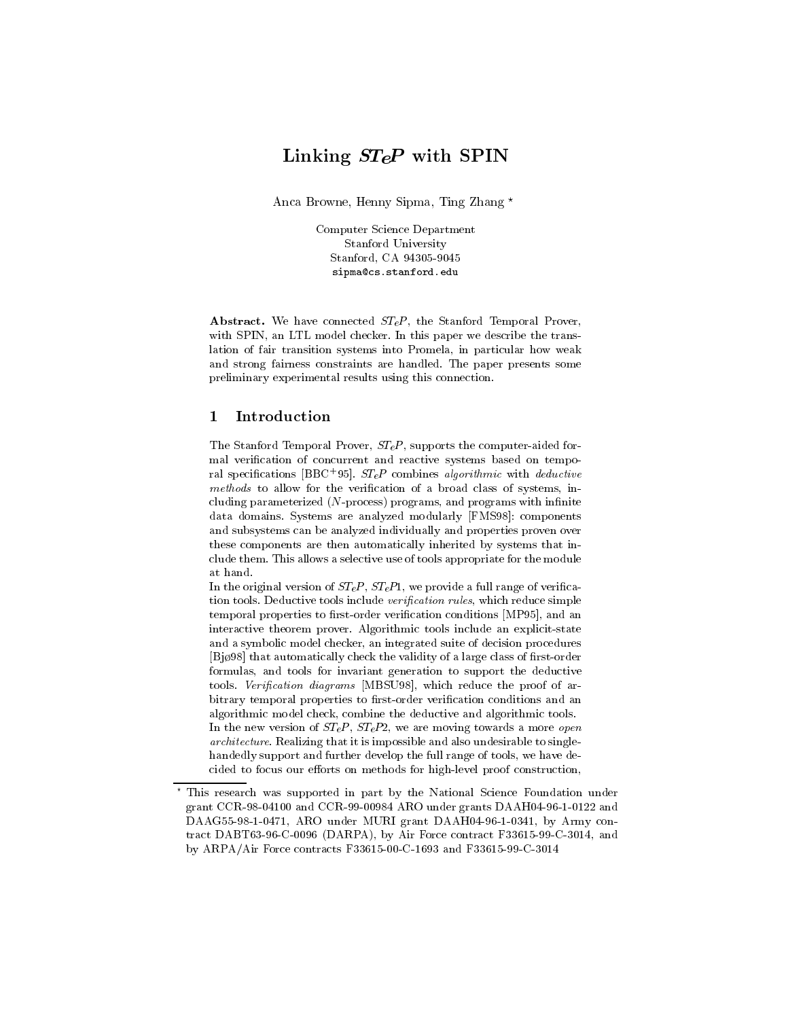# $\blacksquare$

Anca Browne, Henny Sipma, Ting Zhang ?

Computer Science Department Stanford University Stanford, CA 94305-9045 sipma@cs.stanford.edu

Abstract. We have connected  $ST<sub>e</sub>P$ , the Stanford Temporal Prover, with SPIN, an LTL model checker. In this paper we describe the translation of fair transition systems into Promela, in particular how weak and strong fairness constraints are handled. The paper presents some preliminary experimental results using this connection.

#### 1Introduction

The Stanford Temporal Prover,  $ST<sub>e</sub>P$ , supports the computer-aided formal verication of concurrent and reactive systems based on temporal specifications  $\vert$ BBC+95]. *STeP* combines *algorithmic* with *deductive* methods to allow for the verification of a broad class of systems, including parameterized  $(N$ -process) programs, and programs with infinite data domains. Systems are analyzed modularly [FMS98]: components and subsystems can be analyzed individually and properties proven over these components are then automatically inherited by systems that include them. This allows a selective use of tools appropriate for the module at hand.

In the original version of  $ST<sub>e</sub>P$ ,  $ST<sub>e</sub>P1$ , we provide a full range of verification tools. Deductive tools include verification rules, which reduce simple temporal properties to first-order verification conditions [MP95], and an interactive theorem prover. Algorithmic tools include an explicit-state and a symbolic model checker, an integrated suite of decision procedures [Bjø98] that automatically check the validity of a large class of first-order formulas, and tools for invariant generation to support the deductive tools. Verification diagrams [MBSU98], which reduce the proof of arbitrary temporal properties to first-order verification conditions and an algorithmic model check, combine the deductive and algorithmic tools. In the new version of  $ST_eP$ ,  $ST_eP2$ , we are moving towards a more *open* architecture. Realizing that it is impossible and also undesirable to singlehandedly support and further develop the full range of tools, we have decided to focus our efforts on methods for high-level proof construction,

<sup>?</sup> This research was supported in part by the National Science Foundation under grant CCR-98-04100 and CCR-99-00984 ARO under grants DAAH04-96-1-0122 and DAAG55-98-1-0471, ARO under MURI grant DAAH04-96-1-0341, by Army con tract DABT63-96-C-0096 (DARPA), by Air Force contract F33615-99-C-3014, and by ARPA/Air Force contracts F33615-00-C-1693 and F33615-99-C-3014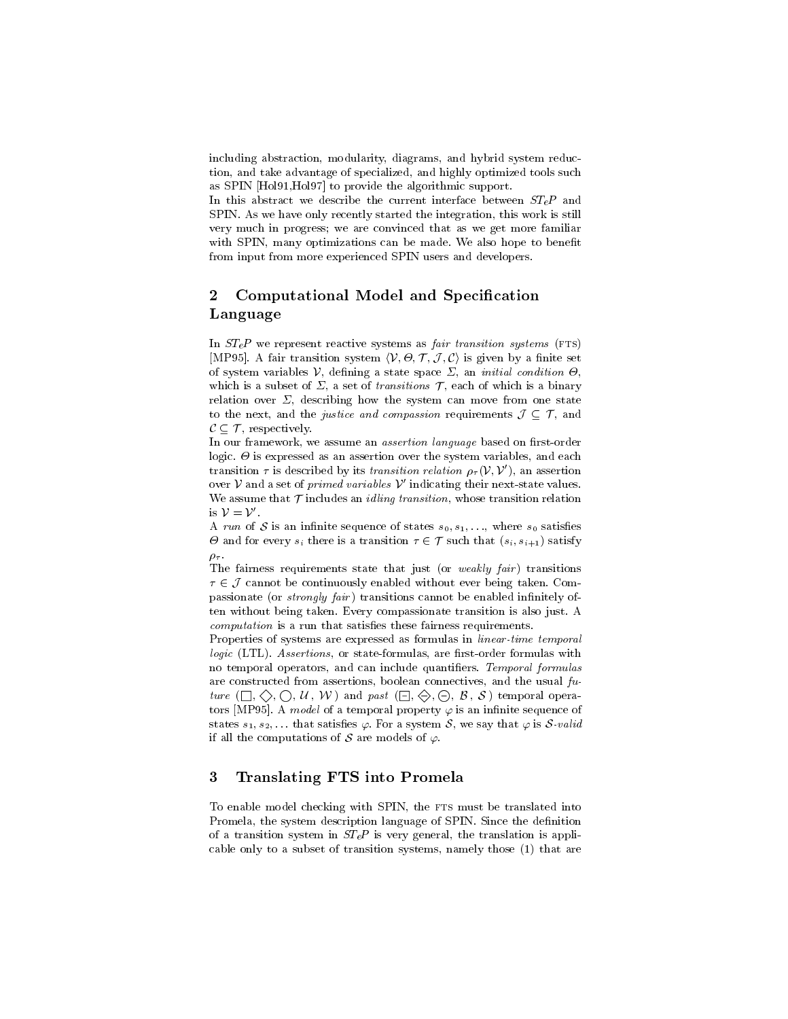including abstraction, modularity, diagrams, and hybrid system reduction, and take advantage of specialized, and highly optimized tools such as SPIN [Hol91,Hol97] to provide the algorithmic support.

In this abstract we describe the current interface between  $STeP$  and SPIN. As we have only recently started the integration, this work is still very much in progress; we are convinced that as we get more familiar with SPIN, many optimizations can be made. We also hope to benefit from input from more experienced SPIN users and developers.

### 2Computational Model and Specification Language

In  $STeP$  we represent reactive systems as *fair transition systems* (FTS)  $\mathcal{L}$  is a fair transition system if  $\{V, \{V\}, \{V\}, \{V\}, \{V\}, \{V\}, \{V\}, \{V\}$  and  $\mathcal{L}$  is a set of set of  $\mathcal{L}$  $\sim$  system variables V, decreasing a state space  $\sim$  , and initial conditions  $\sim$  , which is a subset of  $\Sigma$ , a set of transitions  $\mathcal T$ , each of which is a binary relation over  $\Sigma$ , describing how the system can move from one state to the next, and the *justice and compassion* requirements  $\mathcal{J} \subseteq \mathcal{T}$ , and  $\mathcal{C} \subset \mathcal{T}$ , respectively.

In our framework, we assume an *assertion language* based on first-order logic. - is expressed as an assertion over the system variables, and each transition  $\tau$  is described by its transition relation  $\rho_{\tau}(\mathcal{V}, \mathcal{V}')$ , an assertion over  $\nu$  and a set of  $\emph{primes}$   $varuose$   $\nu$  indicating their next-state values. We assume that  $\mathcal T$  includes an *idling transition*, whose transition relation is a series of the series of the series of the series of the series of the series of the series of the series is  $V = V'$ .

 $\ldots$  , and  $\alpha$  is an immediate sequence of states s $0, \frac{1}{2}, \ldots, \frac{1}{n}$  where s $0$  satisfies  $\sim$  and for every si there is a transition  $\sim$   $\sim$   $\sim$  such that  $\langle s_i, s_{i+1} \rangle$  satisfy .

The fairness requirements state that just (or *weakly fair*) transitions  $2 \times 2$  cannot be continuously enabled with the being taken. Compassionate (or *strongly fair*) transitions cannot be enabled infinitely often without being taken. Every compassionate transition is also just. A  $computation$  is a run that satisfies these fairness requirements.

Properties of systems are expressed as formulas in linear-time temporal  $logic$  (LTL). Assertions, or state-formulas, are first-order formulas with no temporal operators, and can include quantifiers. Temporal formulas are constructed from assertions, boolean connectives, and the usual  $fu$ ture (1  $\sim$  1  $\sim$  1  $\sim$  1  $\sim$  1  $\sim$  1  $\sim$  1  $\sim$  1  $\sim$  1  $\sim$  1  $\sim$  1  $\sim$  1  $\sim$  1  $\sim$  1  $\sim$  1  $\sim$  1  $\sim$  1  $\sim$  1  $\sim$  1  $\sim$  1  $\sim$  1  $\sim$  1  $\sim$  1  $\sim$  1  $\sim$  1  $\sim$  1  $\sim$  1  $\sim$  1  $\sim$  1  $\sim$  1  $\sim$  1  $\sim$ tors [MP95]. A *model* of a temporal property  $\varphi$  is an infinite sequence of states  $s_1, s_2, \ldots$  that satisfies  $\varphi$ . For a system S, we say that  $\varphi$  is S-valid if all the computations of  $\mathcal S$  are models of  $\varphi.$ 

#### 3Translating FTS into Promela

To enable model checking with SPIN, the FTS must be translated into Promela, the system description language of SPIN. Since the definition of a transition system in  $STeP$  is very general, the translation is applicable only to a subset of transition systems, namely those (1) that are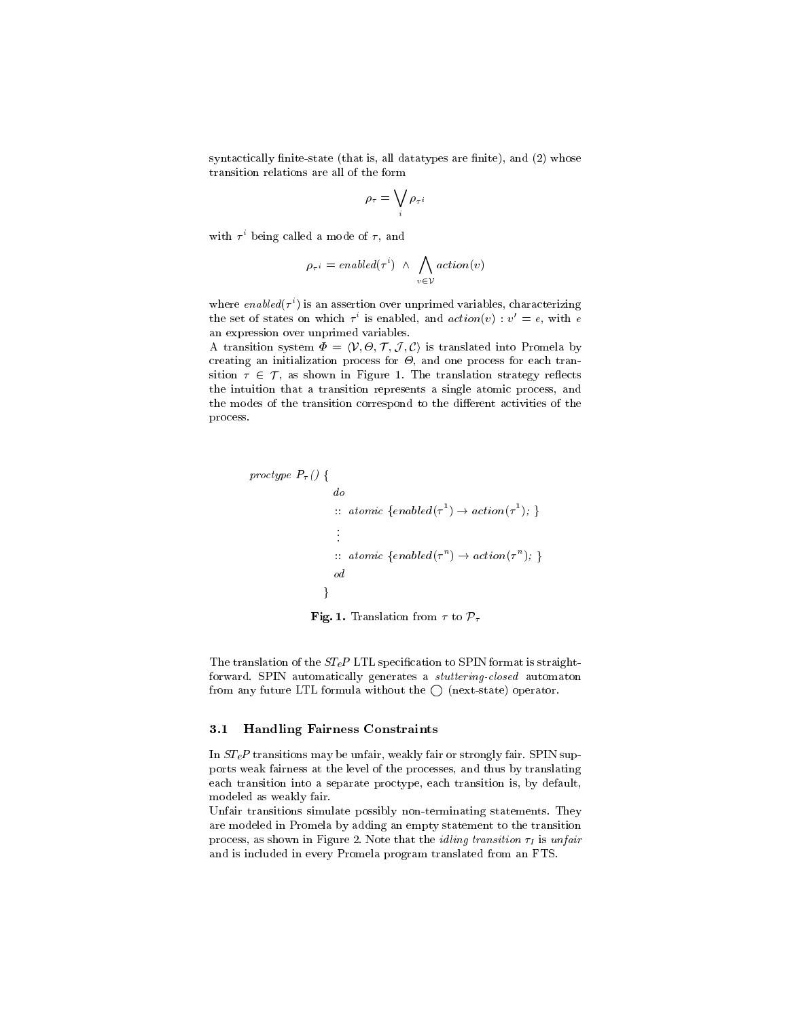syntactically finite-state (that is, all datatypes are finite), and  $(2)$  whose transition relations are all of the form

$$
\rho_{\tau} = \bigvee_i \rho_{\tau^{\,i}}
$$

with  $\tau$  being called a mode of  $\tau,$  and

$$
\rho_{\tau^{\,i}} = \mathit{enabled}(\tau^{\,i}) ~\wedge~ \bigwedge_{v \,\in\, \mathcal{V}} \mathit{action}(v)
$$

where  $\emph{enaoleal}\ \tau$  ) is an assertion over unprimed variables, characterizing the set of states on which  $\tau$  is enabled, and  $\mathit{action}(v)$  :  $v~=~e,$  with  $e$ an expression over unprimed variables.

 $\mathbf{r}$  , transition system is a space into  $\mathbf{r}$  is translated into Promedia by , and an initial process for a set  $\alpha$  , and one process for each transsition  $\tau \in \mathcal{T}$ , as shown in Figure 1. The translation strategy reflects the intuition that a transition represents a single atomic process, and the modes of the transition correspond to the different activities of the process.

$$
\begin{aligned}\n\text{proctype } P_{\tau} \left( \right) & \{ \\
\quad \text{do} \\
\quad \vdots \quad \text{atomic} \ \{\text{enabled}(\tau^1) \to \text{action}(\tau^1); \} \\
&\vdots \\
\quad \vdots \quad \text{atomic} \ \{\text{enabled}(\tau^n) \to \text{action}(\tau^n); \} \\
&\text{od} \\
\end{aligned}
$$



The translation of the  $ST_eP$  LTL specification to SPIN format is straightforward. SPIN automatically generates a stuttering-closed automaton from any future LTL formula without the  $\bigcirc$  (next-state) operator.

#### 3.1Handling Fairness Constraints

In  $STeP$  transitions may be unfair, weakly fair or strongly fair. SPIN supports weak fairness at the level of the processes, and thus by translating each transition into a separate proctype, each transition is, by default, modeled as weakly fair.

Unfair transitions simulate possibly non-terminating statements. They are modeled in Promela by adding an empty statement to the transition process, as shown in Figure 2. Note that the *idling transition*  $\tau_I$  is unfair and is included in every Promela program translated from an FTS.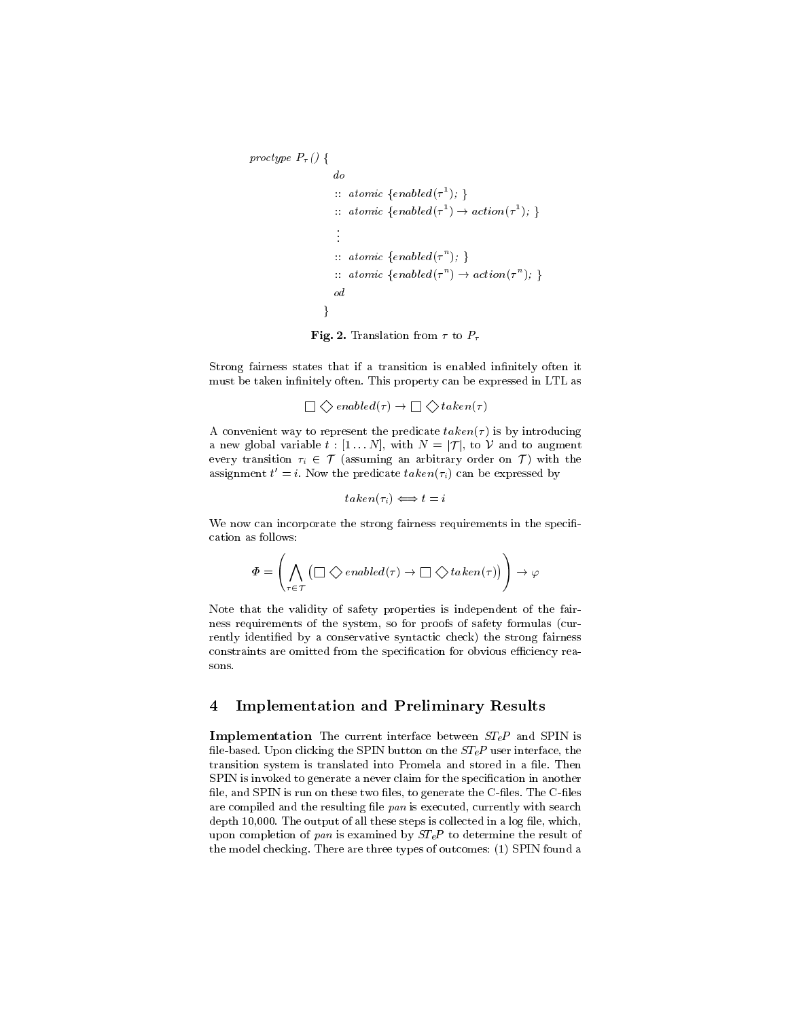```
proctype P_{\tau} () {
                                    do
                                     :: atomic {enabled(\tau); }
                                                                                          and the contract of the contract of the contract of the contract of the contract of the contract of
                                     :: atomic \{enabeled(\tau) \rightarrow action(\tau) : \}and the contract of the contract of the contract of the contract of the contract of the contract of the contract of
                                     :: atomic {enabled(\tau ); }
                                     : a \text{tomic} \ \{enablea(\tau^+) \rightarrow actron(\tau^+); \ \}od
                               \}
```
Fig. 2. Translation from  $\tau$  to  $P_{\tau}$ 

Strong fairness states that if a transition is enabled infinitely often it must be taken infinitely often. This property can be expressed in LTL as

<sup>0</sup> <sup>1</sup> enabled( ) ! <sup>0</sup> <sup>1</sup> taken( )

A convenient way to represent the predicate  $taken(\tau)$  is by introducing a new global variable  $t : [1 \dots N]$ , with  $N = |\mathcal{T}|$ , to V and to augment every transition  $\tau_i \in \mathcal{T}$  (assuming an arbitrary order on  $\mathcal{T}$ ) with the assignment  $t = i$ . Now the predicate  $take n(\tau_i)$  can be expressed by

 $taken(\tau_i) \Longleftrightarrow t = i$ 

We now can incorporate the strong fairness requirements in the specification as follows:

$$
\varPhi = \left(\bigwedge_{\tau \in \mathcal{T}}\left(\Box\bigdiamondsuit e \text{ \textit{n} abled}(\tau) \to \Box\bigdiamondsuit \text{ \textit{t} aken}(\tau)\right)\right) \to \varphi
$$

Note that the validity of safety properties is independent of the fairness requirements of the system, so for proofs of safety formulas (cur rently identied by a conservative syntactic check) the strong fairness constraints are omitted from the specification for obvious efficiency reasons.

#### 4Implementation and Preliminary Results

Implementation The current interface between STeP and SPIN is file-based. Upon clicking the SPIN button on the  $ST<sub>e</sub>P$  user interface, the transition system is translated into Promela and stored in a file. Then SPIN is invoked to generate a never claim for the specification in another file, and SPIN is run on these two files, to generate the C-files. The C-files are compiled and the resulting file  $pan$  is executed, currently with search depth  $10,000$ . The output of all these steps is collected in a log file, which, upon completion of pan is examined by  $ST<sub>e</sub>P$  to determine the result of the model checking. There are three types of outcomes: (1) SPIN found a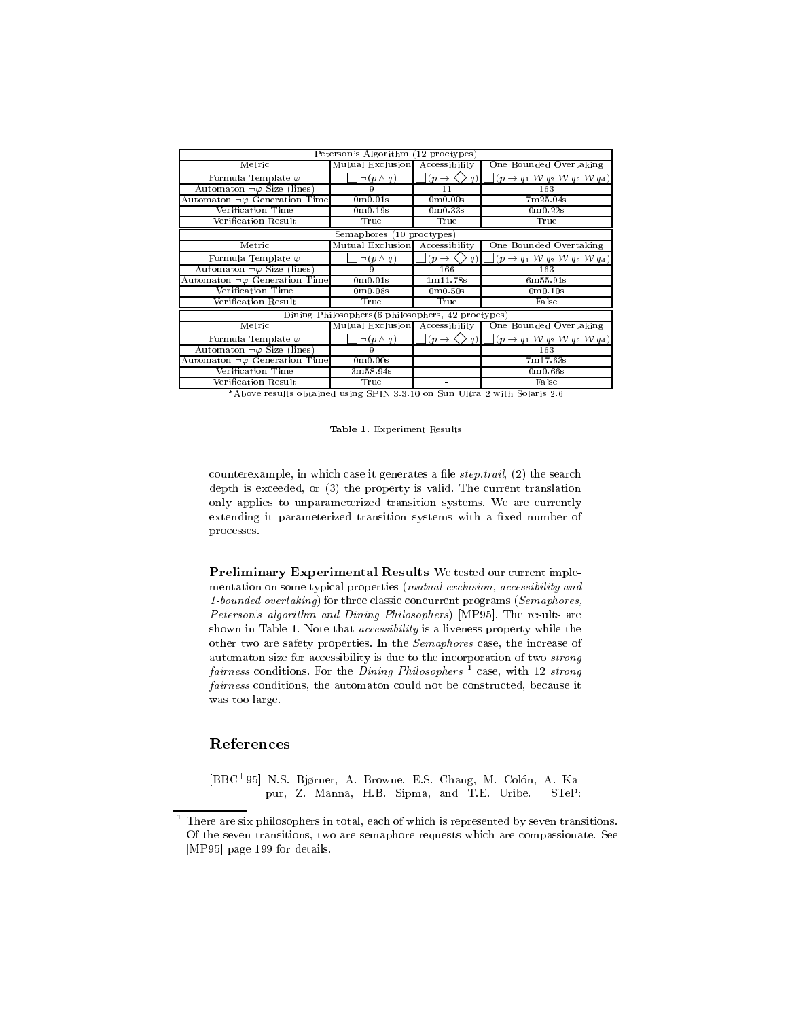| Peterson's Algorithm (12 proctypes)                |                                  |                                       |                                                                                  |
|----------------------------------------------------|----------------------------------|---------------------------------------|----------------------------------------------------------------------------------|
| Metric                                             | Mutual Exclusion                 | Accessibility                         | One Bounded Overtaking                                                           |
| Formula Template $\varphi$                         | $\neg(p \wedge q)$               | $(p \rightarrow \cdot$<br>(q)         | $(p \rightarrow q_1 W q_2 W q_3 W q_4)$                                          |
| Automaton $\neg \varphi$ Size (lines)              | 9                                | 11                                    | 163                                                                              |
| Automaton $\neg \varphi$ Generation Time           | 0 <sub>m</sub> 0.01 <sub>s</sub> | 0 <sub>m</sub> 0.00 <sub>s</sub>      | 7m25.04s                                                                         |
| Verification Time                                  | 0m0.19s                          | 0 <sub>m</sub> 0.33 <sub>s</sub>      | 0m0.22s                                                                          |
| Verification Result                                | True                             | True                                  | True                                                                             |
| Semaphores (10 proctypes)                          |                                  |                                       |                                                                                  |
| Metric                                             | Mutual Exclusion Accessibility   |                                       | One Bounded Overtaking                                                           |
| Formula Template $\varphi$                         | $\neg (p \wedge q)$              | $(p \rightarrow$                      | $ (p \rightarrow q_1 \, \mathcal{W} q_2 \, \mathcal{W} q_3 \, \mathcal{W} q_4) $ |
| Automaton $\neg \varphi$ Size (lines)              | 9                                | 166                                   | 163                                                                              |
| Automaton $\neg \varphi$ Generation Time           | 0 <sub>m</sub> 0.01 <sub>s</sub> | 1m11.78s                              | 6m55.91s                                                                         |
| Verification Time                                  | 0 <sub>m</sub> 0.08 <sub>s</sub> | 0 <sub>m</sub> 0.50 <sub>s</sub>      | 0 <sub>m</sub> 0.10 <sub>s</sub>                                                 |
| Verification Result                                | True                             | True                                  | False                                                                            |
| Dining Philosophers (6 philosophers, 42 proctypes) |                                  |                                       |                                                                                  |
| Metric                                             | Mutual Exclusion Accessibility   |                                       | One Bounded Overtaking                                                           |
| Formula Template $\varphi$                         | $\neg (p \wedge q)$              | $(p \rightarrow$<br>$\rightarrow$ q). | $(p \rightarrow q_1 \, \mathcal{W} q_2 \, \mathcal{W} q_3 \, \mathcal{W} q_4)$   |
| Automaton $\neg \varphi$ Size (lines)              | 9                                |                                       | 163                                                                              |
| Automaton $\neg \varphi$ Generation Time           | 0 <sub>m</sub> 0.00 <sub>s</sub> | $\blacksquare$                        | 7m17.63s                                                                         |
| Verification Time                                  | 3m58.94s                         |                                       | 0 <sub>m</sub> 0.66 <sub>s</sub>                                                 |
| Verification Result                                | True                             | $\blacksquare$                        | False                                                                            |

\*Above results obtained using SPIN 3.3.10 on Sun Ultra 2 with Solaris 2.6

### Table 1. Experiment Results

counterexample, in which case it generates a file  $step.train$ , (2) the search depth is exceeded, or (3) the property is valid. The current translation only applies to unparameterized transition systems. We are currently extending it parameterized transition systems with a fixed number of processes.

 $\bf r$  reliminary Experimental Results we tested our current implementation on some typical properties (mutual exclusion, accessibility and 1-bounded overtaking) for three classic concurrent programs (Semaphores, Peterson's algorithm and Dining Philosophers) [MP95]. The results are shown in Table 1. Note that accessibility is a liveness property while the other two are safety properties. In the Semaphores case, the increase of automaton size for accessibility is due to the incorporation of two strong fairness conditions. For the Dining Philosophers  $\frac{1}{1}$  case, with 12 strong fairness conditions, the automaton could not be constructed, because it was too large.

## References

[BBC+ 95] N.S. Bjrner, A. Browne, E.S. Chang, M. Colon, A. Kapur, Z. Manna, H.B. Sipma, and T.E. Uribe. STeP:

<sup>1</sup> There are six philosophers in total, each of which is represented by seven transitions. Of the seven transitions, two are semaphore requests which are compassionate. See [MP95] page 199 for details.